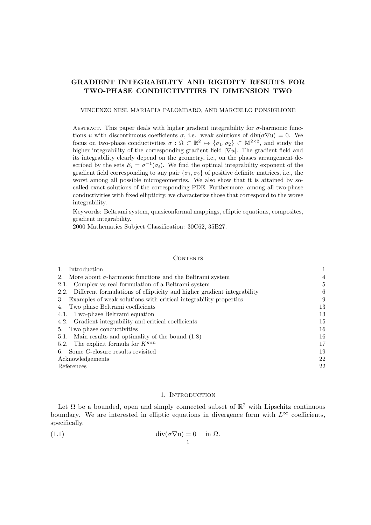# GRADIENT INTEGRABILITY AND RIGIDITY RESULTS FOR TWO-PHASE CONDUCTIVITIES IN DIMENSION TWO

VINCENZO NESI, MARIAPIA PALOMBARO, AND MARCELLO PONSIGLIONE

ABSTRACT. This paper deals with higher gradient integrability for  $\sigma$ -harmonic functions u with discontinuous coefficients  $\sigma$ , i.e. weak solutions of div $(\sigma \nabla u) = 0$ . We focus on two-phase conductivities  $\sigma : \Omega \subset \mathbb{R}^2 \to {\sigma_1, \sigma_2} \subset \mathbb{M}^{2 \times 2}$ , and study the higher integrability of the corresponding gradient field  $|\nabla u|$ . The gradient field and its integrability clearly depend on the geometry, i.e., on the phases arrangement described by the sets  $E_i = \sigma^{-1}(\sigma_i)$ . We find the optimal integrability exponent of the gradient field corresponding to any pair  $\{\sigma_1, \sigma_2\}$  of positive definite matrices, i.e., the worst among all possible microgeometries. We also show that it is attained by socalled exact solutions of the corresponding PDE. Furthermore, among all two-phase conductivities with fixed ellipticity, we characterize those that correspond to the worse integrability.

Keywords: Beltrami system, quasiconformal mappings, elliptic equations, composites, gradient integrability.

2000 Mathematics Subject Classification: 30C62, 35B27.

### **CONTENTS**

| Introduction                                                                 | 1  |
|------------------------------------------------------------------------------|----|
| More about $\sigma$ -harmonic functions and the Beltrami system<br>2.        | 4  |
| Complex vs real formulation of a Beltrami system<br>2.1.                     | 5  |
| 2.2. Different formulations of ellipticity and higher gradient integrability | 6  |
| Examples of weak solutions with critical integrability properties<br>3.      | 9  |
| Two phase Beltrami coefficients<br>4.                                        | 13 |
| 4.1. Two-phase Beltrami equation                                             | 13 |
| 4.2. Gradient integrability and critical coefficients                        | 15 |
| Two phase conductivities<br>5.                                               | 16 |
| 5.1. Main results and optimality of the bound (1.8)                          | 16 |
| 5.2. The explicit formula for $K^{min}$                                      | 17 |
| 6. Some G-closure results revisited                                          | 19 |
| Acknowledgements                                                             | 22 |
| References                                                                   | 22 |

# 1. INTRODUCTION

Let  $\Omega$  be a bounded, open and simply connected subset of  $\mathbb{R}^2$  with Lipschitz continuous boundary. We are interested in elliptic equations in divergence form with  $L^{\infty}$  coefficients, specifically,

(1.1) 
$$
\operatorname{div}(\sigma \nabla u) = 0 \quad \text{in } \Omega.
$$

1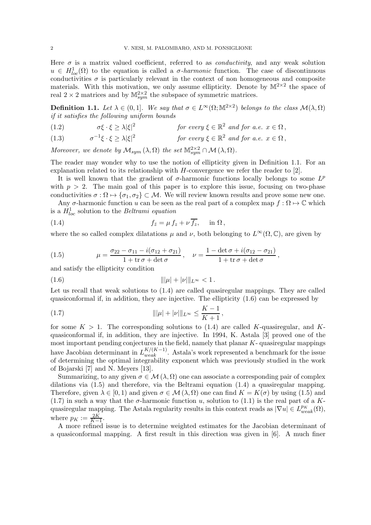Here  $\sigma$  is a matrix valued coefficient, referred to as *conductivity*, and any weak solution  $u \in H^1_{loc}(\Omega)$  to the equation is called a  $\sigma$ -harmonic function. The case of discontinuous conductivities  $\sigma$  is particularly relevant in the context of non homogeneous and composite materials. With this motivation, we only assume ellipticity. Denote by  $\mathbb{M}^{2\times 2}$  the space of real  $2 \times 2$  matrices and by  $\mathbb{M}^{2 \times 2}_{sym}$  the subspace of symmetric matrices.

**Definition 1.1.** Let  $\lambda \in (0,1]$ . We say that  $\sigma \in L^{\infty}(\Omega; \mathbb{M}^{2 \times 2})$  belongs to the class  $\mathcal{M}(\lambda, \Omega)$ *if it satisfies the following uniform bounds*

- $\sigma \xi \cdot \xi \geq \lambda |\xi|^2$ (1.2)  $\sigma\xi \cdot \xi \ge \lambda |\xi|^2$  *for every*  $\xi \in \mathbb{R}^2$  *and for a.e.*  $x \in \Omega$ ,
- $\sigma^{-1}\xi \cdot \xi \geq \lambda |\xi|^2$ (1.3)  $\sigma^{-1}\xi \cdot \xi \ge \lambda |\xi|^2$  *for every*  $\xi \in \mathbb{R}^2$  *and for a.e.*  $x \in \Omega$ ,

Moreover, we denote by  $\mathcal{M}_{sym}(\lambda, \Omega)$  the set  $\mathbb{M}^{2 \times 2}_{sym} \cap \mathcal{M}(\lambda, \Omega)$ .

The reader may wonder why to use the notion of ellipticity given in Definition 1.1. For an explanation related to its relationship with  $H$ -convergence we refer the reader to [2].

It is well known that the gradient of  $\sigma$ -harmonic functions locally belongs to some  $L^p$ with  $p > 2$ . The main goal of this paper is to explore this issue, focusing on two-phase conductivities  $\sigma : \Omega \mapsto {\sigma_1, \sigma_2} \subset \mathcal{M}$ . We will review known results and prove some new one.

Any  $\sigma$ -harmonic function u can be seen as the real part of a complex map  $f : \Omega \mapsto \mathbb{C}$  which is a H<sup>1</sup> loc solution to the *Beltrami equation*

(1.4) 
$$
f_{\bar{z}} = \mu f_z + \nu \overline{f_z}, \quad \text{in } \Omega,
$$

where the so called complex dilatations  $\mu$  and  $\nu$ , both belonging to  $L^{\infty}(\Omega,\mathbb{C})$ , are given by

(1.5) 
$$
\mu = \frac{\sigma_{22} - \sigma_{11} - i(\sigma_{12} + \sigma_{21})}{1 + \text{tr}\,\sigma + \text{det}\,\sigma}, \quad \nu = \frac{1 - \text{det}\,\sigma + i(\sigma_{12} - \sigma_{21})}{1 + \text{tr}\,\sigma + \text{det}\,\sigma},
$$

and satisfy the ellipticity condition

$$
||\mu| + |\nu|||_{L^{\infty}} < 1.
$$

Let us recall that weak solutions to  $(1.4)$  are called quasiregular mappings. They are called quasiconformal if, in addition, they are injective. The ellipticity (1.6) can be expressed by

(1.7) 
$$
\| |\mu| + |\nu| \|_{L^{\infty}} \leq \frac{K - 1}{K + 1},
$$

for some  $K > 1$ . The corresponding solutions to (1.4) are called K-quasiregular, and Kquasiconformal if, in addition, they are injective. In 1994, K. Astala [3] proved one of the most important pending conjectures in the field, namely that planar  $K$ - quasiregular mappings have Jacobian determinant in  $L_{weak}^{K/(K-1)}$ . Astala's work represented a benchmark for the issue of determining the optimal integrability exponent which was previously studied in the work of Bojarski [7] and N. Meyers [13].

Summarizing, to any given  $\sigma \in \mathcal{M}(\lambda, \Omega)$  one can associate a corresponding pair of complex dilations via (1.5) and therefore, via the Beltrami equation (1.4) a quasiregular mapping. Therefore, given  $\lambda \in [0, 1)$  and given  $\sigma \in \mathcal{M}(\lambda, \Omega)$  one can find  $K = K(\sigma)$  by using (1.5) and (1.7) in such a way that the  $\sigma$ -harmonic function u, solution to (1.1) is the real part of a Kquasiregular mapping. The Astala regularity results in this context reads as  $|\nabla u| \in L_{weak}^{p_K}(\Omega)$ , where  $p_K := \frac{2K}{K-1}$ .

A more refined issue is to determine weighted estimates for the Jacobian determinant of a quasiconformal mapping. A first result in this direction was given in [6]. A much finer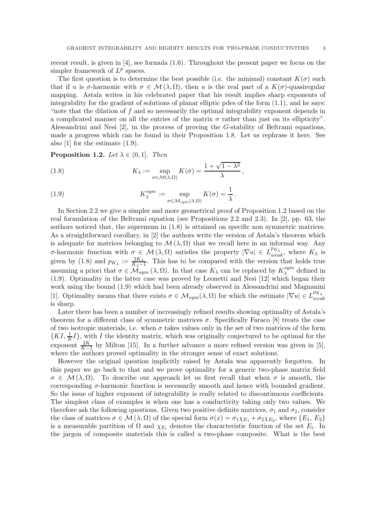recent result, is given in [4], see formula (1.6). Throughout the present paper we focus on the simpler framework of  $L^p$  spaces.

The first question is to determine the best possible (i.e. the minimal) constant  $K(\sigma)$  such that if u is  $\sigma$ -harmonic with  $\sigma \in \mathcal{M}(\lambda, \Omega)$ , then u is the real part of a  $K(\sigma)$ -quasiregular mapping. Astala writes in his celebrated paper that his result implies sharp exponents of integrability for the gradient of solutions of planar elliptic pdes of the form  $(1.1)$ , and he says: "note that the dilation of  $f$  and so necessarily the optimal integrability exponent depends in a complicated manner on all the entries of the matrix  $\sigma$  rather than just on its ellipticity". Alessandrini and Nesi [2], in the process of proving the G-stability of Beltrami equations, made a progress which can be found in their Proposition 1.8. Let us rephrase it here. See also [1] for the estimate (1.9).

**Proposition 1.2.** *Let*  $\lambda \in (0,1]$ *. Then* 

(1.8) 
$$
K_{\lambda} := \sup_{\sigma \in \mathcal{M}(\lambda,\Omega)} K(\sigma) = \frac{1 + \sqrt{1 - \lambda^2}}{\lambda},
$$

(1.9) 
$$
K_{\lambda}^{sym} := \sup_{\sigma \in \mathcal{M}_{sym}(\lambda,\Omega)} K(\sigma) = \frac{1}{\lambda}.
$$

In Section 2.2 we give a simpler and more geometrical proof of Proposition 1.2 based on the real formulation of the Beltrami equation (see Propositions 2.2 and 2.3). In [2], pp. 63, the authors noticed that, the supremum in (1.8) is attained on specific non symmetric matrices. As a straightforward corollary, in [2] the authors write the version of Astala's theorem which is adequate for matrices belonging to  $\mathcal{M}(\lambda, \Omega)$  that we recall here in an informal way. Any σ-harmonic function with  $\sigma \in \mathcal{M}(\lambda, \Omega)$  satisfies the property  $|\nabla u| \in L_{weak}^{p_{K_{\lambda}}}$ , where  $K_{\lambda}$  is given by (1.8) and  $p_{K_{\lambda}} := \frac{2K_{\lambda}}{K_{\lambda} - \lambda}$  $\frac{2K_{\lambda}-1}{K_{\lambda}-1}$ . This has to be compared with the version that holds true assuming a priori that  $\sigma \in \widehat{\mathcal{M}}_{sym}(\lambda, \Omega)$ . In that case  $K_{\lambda}$  can be replaced by  $K_{\lambda}^{sym}$  $\lambda^{\text{sym}}$  defined in (1.9). Optimality in the latter case was proved by Leonetti and Nesi [12] which began their work using the bound (1.9) which had been already observed in Alessandrini and Magnanini [1]. Optimality means that there exists  $\sigma \in M_{sym}(\lambda, \Omega)$  for which the estimate  $|\nabla u| \in L_{weak}^{p_{K_{\lambda}}}$ is sharp.

Later there has been a number of increasingly refined results showing optimality of Astala's theorem for a different class of symmetric matrices  $\sigma$ . Specifically Faraco [8] treats the case of two isotropic materials, i.e. when  $\sigma$  takes values only in the set of two matrices of the form  $\{KI, \frac{1}{K}I\}$ , with I the identity matrix, which was originally conjectured to be optimal for the exponent  $\frac{2K}{K-1}$  by Milton [15]. In a further advance a more refined version was given in [5], where the authors proved optimality in the stronger sense of exact solutions.

However the original question implicitly raised by Astala was apparently forgotten. In this paper we go back to that and we prove optimality for a generic two-phase matrix field  $\sigma \in \mathcal{M}(\lambda, \Omega)$ . To describe our approach let us first recall that when  $\sigma$  is smooth, the corresponding  $\sigma$ -harmonic function is necessarily smooth and hence with bounded gradient. So the issue of higher exponent of integrability is really related to discontinuous coefficients. The simplest class of examples is when one has a conductivity taking only two values. We therefore ask the following questions. Given two positive definite matrices,  $\sigma_1$  and  $\sigma_2$ , consider the class of matrices  $\sigma \in \mathcal{M}(\lambda, \Omega)$  of the special form  $\sigma(x) = \sigma_1 \chi_{E_1} + \sigma_2 \chi_{E_2}$ , where  $\{E_1, E_2\}$ is a measurable partition of  $\Omega$  and  $\chi_{E_i}$  denotes the characteristic function of the set  $E_i$ . In the jargon of composite materials this is called a two-phase composite. What is the best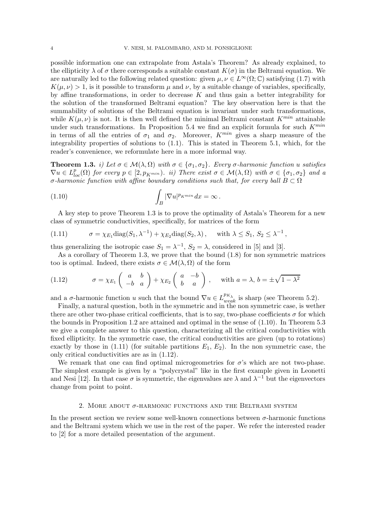possible information one can extrapolate from Astala's Theorem? As already explained, to the ellipticity  $\lambda$  of  $\sigma$  there corresponds a suitable constant  $K(\sigma)$  in the Beltrami equation. We are naturally led to the following related question: given  $\mu, \nu \in L^{\infty}(\Omega; \mathbb{C})$  satisfying (1.7) with  $K(\mu, \nu) > 1$ , is it possible to transform  $\mu$  and  $\nu$ , by a suitable change of variables, specifically, by affine transformations, in order to decrease  $K$  and thus gain a better integrability for the solution of the transformed Beltrami equation? The key observation here is that the summability of solutions of the Beltrami equation is invariant under such transformations, while  $K(\mu, \nu)$  is not. It is then well defined the minimal Beltrami constant  $K^{min}$  attainable under such transformations. In Proposition 5.4 we find an explicit formula for such  $K^{min}$ in terms of all the entries of  $\sigma_1$  and  $\sigma_2$ . Moreover,  $K^{min}$  gives a sharp measure of the integrability properties of solutions to (1.1). This is stated in Theorem 5.1, which, for the reader's convenience, we reformulate here in a more informal way.

**Theorem 1.3.** *i)* Let  $\sigma \in \mathcal{M}(\lambda, \Omega)$  with  $\sigma \in {\sigma_1, \sigma_2}$ . Every  $\sigma$ -harmonic function u satisfies  $\nabla u \in L_{loc}^p(\Omega)$  *for every*  $p \in [2, p_{K^{min}})$ *. ii) There exist*  $\sigma \in \mathcal{M}(\lambda, \Omega)$  *with*  $\sigma \in {\sigma_1, \sigma_2}$  *and a* σ-harmonic function with affine boundary conditions such that, for every ball  $B \subset \Omega$ 

(1.10) 
$$
\int_B |\nabla u|^{p_{Kmin}} dx = \infty.
$$

A key step to prove Theorem 1.3 is to prove the optimality of Astala's Theorem for a new class of symmetric conductivities, specifically, for matrices of the form

(1.11) 
$$
\sigma = \chi_{E_1} \text{diag}(S_1, \lambda^{-1}) + \chi_{E_2} \text{diag}(S_2, \lambda), \text{ with } \lambda \leq S_1, S_2 \leq \lambda^{-1},
$$

thus generalizing the isotropic case  $S_1 = \lambda^{-1}$ ,  $S_2 = \lambda$ , considered in [5] and [3].

As a corollary of Theorem 1.3, we prove that the bound (1.8) for non symmetric matrices too is optimal. Indeed, there exists  $\sigma \in \mathcal{M}(\lambda, \Omega)$  of the form

(1.12) 
$$
\sigma = \chi_{E_1}\begin{pmatrix} a & b \\ -b & a \end{pmatrix} + \chi_{E_2}\begin{pmatrix} a & -b \\ b & a \end{pmatrix}, \text{ with } a = \lambda, b = \pm \sqrt{1 - \lambda^2}
$$

and a  $\sigma$ -harmonic function u such that the bound  $\nabla u \in L_{weak}^{p_{K_{\lambda}}}$  is sharp (see Theorem 5.2).

Finally, a natural question, both in the symmetric and in the non symmetric case, is wether there are other two-phase critical coefficients, that is to say, two-phase coefficients  $\sigma$  for which the bounds in Proposition 1.2 are attained and optimal in the sense of (1.10). In Theorem 5.3 we give a complete answer to this question, characterizing all the critical conductivities with fixed ellipticity. In the symmetric case, the critical conductivities are given (up to rotations) exactly by those in  $(1.11)$  (for suitable partitions  $E_1, E_2$ ). In the non symmetric case, the only critical conductivities are as in (1.12).

We remark that one can find optimal microgeometries for  $\sigma$ 's which are not two-phase. The simplest example is given by a "polycrystal" like in the first example given in Leonetti and Nesi [12]. In that case  $\sigma$  is symmetric, the eigenvalues are  $\lambda$  and  $\lambda^{-1}$  but the eigenvectors change from point to point.

# 2. MORE ABOUT  $\sigma$ -HARMONIC FUNCTIONS AND THE BELTRAMI SYSTEM

In the present section we review some well-known connections between  $\sigma$ -harmonic functions and the Beltrami system which we use in the rest of the paper. We refer the interested reader to [2] for a more detailed presentation of the argument.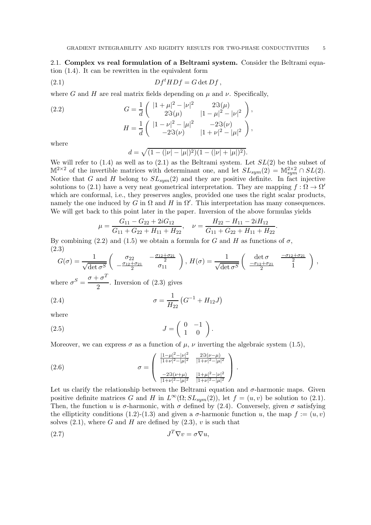2.1. Complex vs real formulation of a Beltrami system. Consider the Beltrami equation (1.4). It can be rewritten in the equivalent form

$$
(2.1) \tDftHDf = G det Df,
$$

where G and H are real matrix fields depending on  $\mu$  and  $\nu$ . Specifically,

(2.2) 
$$
G = \frac{1}{d} \begin{pmatrix} |1 + \mu|^2 - |\nu|^2 & 2\Im(\mu) \\ 2\Im(\mu) & |1 - \mu|^2 - |\nu|^2 \end{pmatrix},
$$

$$
H = \frac{1}{d} \begin{pmatrix} |1 - \nu|^2 - |\mu|^2 & -2\Im(\nu) \\ -2\Im(\nu) & |1 + \nu|^2 - |\mu|^2 \end{pmatrix},
$$

where

$$
d = \sqrt{(1 - (|\nu| - |\mu|)^2)(1 - (|\nu| + |\mu|)^2)}.
$$

We will refer to  $(1.4)$  as well as to  $(2.1)$  as the Beltrami system. Let  $SL(2)$  be the subset of  $\mathbb{M}^{2\times 2}$  of the invertible matrices with determinant one, and let  $SL_{sym}(2) = \mathbb{M}^{2\times 2}_{sym} \cap SL(2)$ . Notice that G and H belong to  $SL_{sym}(2)$  and they are positive definite. In fact injective solutions to (2.1) have a very neat geometrical interpretation. They are mapping  $f : \Omega \to \Omega'$ which are conformal, i.e., they preserves angles, provided one uses the right scalar products, namely the one induced by G in  $\Omega$  and H in  $\Omega'$ . This interpretation has many consequences. We will get back to this point later in the paper. Inversion of the above formulas yields

$$
\mu = \frac{G_{11} - G_{22} + 2iG_{12}}{G_{11} + G_{22} + H_{11} + H_{22}}, \quad \nu = \frac{H_{22} - H_{11} - 2iH_{12}}{G_{11} + G_{22} + H_{11} + H_{22}}
$$

By combining (2.2) and (1.5) we obtain a formula for G and H as functions of  $\sigma$ , (2.3)

$$
G(\sigma) = \frac{1}{\sqrt{\det \sigma^S}} \begin{pmatrix} \sigma_{22} & -\frac{\sigma_{12} + \sigma_{21}}{2} \\ -\frac{\sigma_{12} + \sigma_{21}}{2} & \sigma_{11} \end{pmatrix}, H(\sigma) = \frac{1}{\sqrt{\det \sigma^S}} \begin{pmatrix} \det \sigma & \frac{-\sigma_{12} + \sigma_{21}}{2} \\ -\frac{\sigma_{12} + \sigma_{21}}{2} & 1 \end{pmatrix},
$$

where  $\sigma^S = \frac{\sigma + \sigma^T}{2}$  $\frac{6}{2}$ . Inversion of  $(2.3)$  gives

(2.4) 
$$
\sigma = \frac{1}{H_{22}} \left( G^{-1} + H_{12} J \right)
$$

where

$$
(2.5) \t\t J = \begin{pmatrix} 0 & -1 \\ 1 & 0 \end{pmatrix}.
$$

Moreover, we can express  $\sigma$  as a function of  $\mu$ ,  $\nu$  inverting the algebraic system (1.5),

(2.6) 
$$
\sigma = \begin{pmatrix} \frac{|1-\mu|^2 - |\nu|^2}{|1+\nu|^2 - |\mu|^2} & \frac{2\Im(\nu-\mu)}{|1+\nu|^2 - |\mu|^2} \\ \frac{-2\Im(\nu+\mu)}{|1+\nu|^2 - |\mu|^2} & \frac{|1+\mu|^2 - |\nu|^2}{|1+\nu|^2 - |\mu|^2} \end{pmatrix}.
$$

Let us clarify the relationship between the Beltrami equation and  $\sigma$ -harmonic maps. Given positive definite matrices G and H in  $L^{\infty}(\Omega; SL_{sym}(2))$ , let  $f = (u, v)$  be solution to (2.1). Then, the function u is  $\sigma$ -harmonic, with  $\sigma$  defined by (2.4). Conversely, given  $\sigma$  satisfying the ellipticity conditions (1.2)-(1.3) and given a  $\sigma$ -harmonic function u, the map  $f := (u, v)$ solves  $(2.1)$ , where G and H are defined by  $(2.3)$ , v is such that

$$
(2.7) \t\t J^T \nabla v = \sigma \nabla u,
$$

.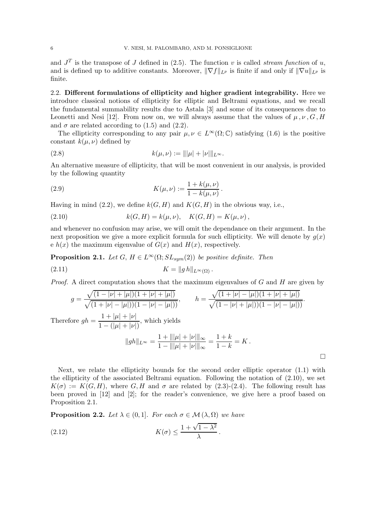and  $J<sup>T</sup>$  is the transpose of J defined in (2.5). The function v is called *stream function* of u, and is defined up to additive constants. Moreover,  $\|\nabla f\|_{L^p}$  is finite if and only if  $\|\nabla u\|_{L^p}$  is finite.

2.2. Different formulations of ellipticity and higher gradient integrability. Here we introduce classical notions of ellipticity for elliptic and Beltrami equations, and we recall the fundamental summability results due to Astala [3] and some of its consequences due to Leonetti and Nesi [12]. From now on, we will always assume that the values of  $\mu$ ,  $\nu$ ,  $G$ ,  $H$ and  $\sigma$  are related according to (1.5) and (2.2).

The ellipticity corresponding to any pair  $\mu, \nu \in L^{\infty}(\Omega; \mathbb{C})$  satisfying (1.6) is the positive constant  $k(\mu, \nu)$  defined by

(2.8) 
$$
k(\mu,\nu) := ||\mu| + |\nu||_{L^{\infty}}.
$$

An alternative measure of ellipticity, that will be most convenient in our analysis, is provided by the following quantity

(2.9) 
$$
K(\mu,\nu) := \frac{1 + k(\mu,\nu)}{1 - k(\mu,\nu)}.
$$

Having in mind (2.2), we define  $k(G, H)$  and  $K(G, H)$  in the obvious way, i.e.,

(2.10) 
$$
k(G, H) = k(\mu, \nu), \quad K(G, H) = K(\mu, \nu),
$$

and whenever no confusion may arise, we will omit the dependance on their argument. In the next proposition we give a more explicit formula for such ellipticity. We will denote by  $g(x)$ e  $h(x)$  the maximum eigenvalue of  $G(x)$  and  $H(x)$ , respectively.

**Proposition 2.1.** *Let*  $G, H \in L^{\infty}(\Omega; SL_{sum}(2))$  *be positive definite. Then* 

$$
(2.11) \t\t\t K = ||g h||_{L^{\infty}(\Omega)}.
$$

*Proof.* A direct computation shows that the maximum eigenvalues of G and H are given by

$$
g = \frac{\sqrt{(1 - |\nu| + |\mu|)(1 + |\nu| + |\mu|)}}{\sqrt{(1 + |\nu| - |\mu|)(1 - |\nu| - |\mu|)}}, \qquad h = \frac{\sqrt{(1 + |\nu| - |\mu|)(1 + |\nu| + |\mu|)}}{\sqrt{(1 - |\nu| + |\mu|)(1 - |\nu| - |\mu|)}}.
$$

Therefore  $gh = \frac{1 + |\mu| + |\nu|}{1 - (1 + |\nu|)}$  $\frac{1 - |\mu| + |\nu|}{1 - (|\mu| + |\nu|)},$  which yields

$$
||gh||_{L^{\infty}} = \frac{1 + ||\mu| + |\nu|||_{\infty}}{1 - ||\mu| + |\nu|||_{\infty}} = \frac{1 + k}{1 - k} = K.
$$

Next, we relate the ellipticity bounds for the second order elliptic operator (1.1) with the ellipticity of the associated Beltrami equation. Following the notation of  $(2.10)$ , we set  $K(\sigma) := K(G, H)$ , where G, H and  $\sigma$  are related by (2.3)-(2.4). The following result has been proved in [12] and [2]; for the reader's convenience, we give here a proof based on Proposition 2.1.

**Proposition 2.2.** *Let*  $\lambda \in (0,1]$ *. For each*  $\sigma \in \mathcal{M}(\lambda, \Omega)$  *we have* 

(2.12) 
$$
K(\sigma) \leq \frac{1 + \sqrt{1 - \lambda^2}}{\lambda}.
$$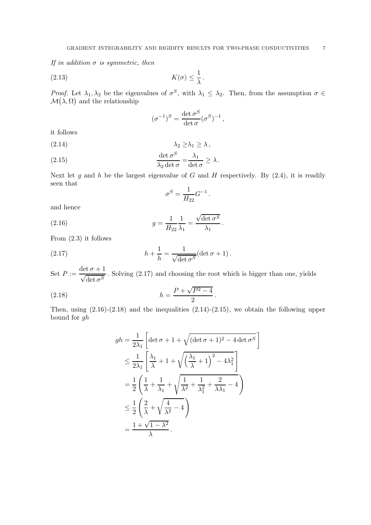*If in addition* σ *is symmetric, then*

$$
(2.13) \t K(\sigma) \le \frac{1}{\lambda}.
$$

*Proof.* Let  $\lambda_1, \lambda_2$  be the eigenvalues of  $\sigma^S$ , with  $\lambda_1 \leq \lambda_2$ . Then, from the assumption  $\sigma \in$  $\mathcal{M}(\lambda, \Omega)$  and the relationship

$$
(\sigma^{-1})^S = \frac{\det \sigma^S}{\det \sigma} (\sigma^S)^{-1},
$$

it follows

$$
\lambda_2 \geq \lambda_1 \geq \lambda,
$$

(2.15) 
$$
\frac{\det \sigma^S}{\lambda_2 \det \sigma} = \frac{\lambda_1}{\det \sigma} \ge \lambda.
$$

Next let g and h be the largest eigenvalue of G and H respectively. By  $(2.4)$ , it is readily seen that

$$
\sigma^S=\frac{1}{H_{22}}G^{-1}
$$

.

and hence

(2.16) 
$$
g = \frac{1}{H_{22}} \frac{1}{\lambda_1} = \frac{\sqrt{\det \sigma^S}}{\lambda_1}.
$$

From (2.3) it follows

(2.17) 
$$
h + \frac{1}{h} = \frac{1}{\sqrt{\det \sigma^S}} (\det \sigma + 1).
$$

Set  $P := \frac{\det \sigma + 1}{\sqrt{1 - \sigma^2}}$  $\frac{1}{\sqrt{\det \sigma^S}}$ . Solving (2.17) and choosing the root which is bigger than one, yields

(2.18) 
$$
h = \frac{P + \sqrt{P^2 - 4}}{2}.
$$

Then, using  $(2.16)-(2.18)$  and the inequalities  $(2.14)-(2.15)$ , we obtain the following upper bound for gh

$$
gh = \frac{1}{2\lambda_1} \left[ \det \sigma + 1 + \sqrt{(\det \sigma + 1)^2 - 4 \det \sigma^S} \right]
$$
  
\n
$$
\leq \frac{1}{2\lambda_1} \left[ \frac{\lambda_1}{\lambda} + 1 + \sqrt{\left(\frac{\lambda_1}{\lambda} + 1\right)^2 - 4\lambda_1^2} \right]
$$
  
\n
$$
= \frac{1}{2} \left( \frac{1}{\lambda} + \frac{1}{\lambda_1} + \sqrt{\frac{1}{\lambda^2} + \frac{1}{\lambda_1^2} + \frac{2}{\lambda \lambda_1} - 4} \right)
$$
  
\n
$$
\leq \frac{1}{2} \left( \frac{2}{\lambda} + \sqrt{\frac{4}{\lambda^2} - 4} \right)
$$
  
\n
$$
= \frac{1 + \sqrt{1 - \lambda^2}}{\lambda}.
$$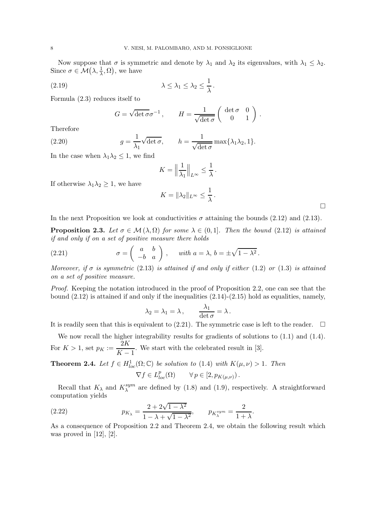Now suppose that  $\sigma$  is symmetric and denote by  $\lambda_1$  and  $\lambda_2$  its eigenvalues, with  $\lambda_1 \leq \lambda_2$ . Since  $\sigma \in \mathcal{M}(\lambda, \frac{1}{\lambda}, \Omega)$ , we have

$$
\lambda \leq \lambda_1 \leq \lambda_2 \leq \frac{1}{\lambda}.
$$

Formula (2.3) reduces itself to

$$
G = \sqrt{\det \sigma} \sigma^{-1}, \qquad H = \frac{1}{\sqrt{\det \sigma}} \begin{pmatrix} \det \sigma & 0 \\ 0 & 1 \end{pmatrix}.
$$

Therefore

(2.20) 
$$
g = \frac{1}{\lambda_1} \sqrt{\det \sigma}, \qquad h = \frac{1}{\sqrt{\det \sigma}} \max\{\lambda_1 \lambda_2, 1\}.
$$

In the case when  $\lambda_1 \lambda_2 \leq 1$ , we find

$$
K = \left\| \frac{1}{\lambda_1} \right\|_{L^\infty} \le \frac{1}{\lambda} \, .
$$

If otherwise  $\lambda_1 \lambda_2 \geq 1$ , we have

$$
K = \|\lambda_2\|_{L^\infty} \le \frac{1}{\lambda} \, .
$$

 $\Box$ 

In the next Proposition we look at conductivities  $\sigma$  attaining the bounds (2.12) and (2.13).

**Proposition 2.3.** Let  $\sigma \in \mathcal{M}(\lambda, \Omega)$  for some  $\lambda \in (0, 1]$ . Then the bound (2.12) is attained *if and only if on a set of positive measure there holds*

(2.21) 
$$
\sigma = \begin{pmatrix} a & b \\ -b & a \end{pmatrix}, \text{ with } a = \lambda, b = \pm \sqrt{1 - \lambda^2}.
$$

*Moreover, if*  $\sigma$  *is symmetric* (2.13) *is attained if and only if either* (1.2) *or* (1.3) *is attained on a set of positive measure.*

*Proof.* Keeping the notation introduced in the proof of Proposition 2.2, one can see that the bound  $(2.12)$  is attained if and only if the inequalities  $(2.14)-(2.15)$  hold as equalities, namely,

$$
\lambda_2 = \lambda_1 = \lambda, \qquad \frac{\lambda_1}{\det \sigma} = \lambda \, .
$$

It is readily seen that this is equivalent to (2.21). The symmetric case is left to the reader.  $\Box$ 

We now recall the higher integrability results for gradients of solutions to  $(1.1)$  and  $(1.4)$ . For  $K > 1$ , set  $p_K := \frac{2K}{K}$  $\frac{211}{K-1}$ . We start with the celebrated result in [3].

**Theorem 2.4.** *Let*  $f \in H_{loc}^1(\Omega; \mathbb{C})$  *be solution to* (1.4) *with*  $K(\mu, \nu) > 1$ *. Then*  $\nabla f \in L_{loc}^p(\Omega) \qquad \forall p \in [2, p_{K(\mu,\nu)})$ .

Recall that  $K_{\lambda}$  and  $K_{\lambda}^{sym}$  $\lambda$ <sup>sym</sup> are defined by (1.8) and (1.9), respectively. A straightforward computation yields

(2.22) 
$$
p_{K_{\lambda}} = \frac{2 + 2\sqrt{1 - \lambda^2}}{1 - \lambda + \sqrt{1 - \lambda^2}}, \qquad p_{K_{\lambda}^{sym}} = \frac{2}{1 + \lambda}.
$$

As a consequence of Proposition 2.2 and Theorem 2.4, we obtain the following result which was proved in  $[12]$ ,  $[2]$ .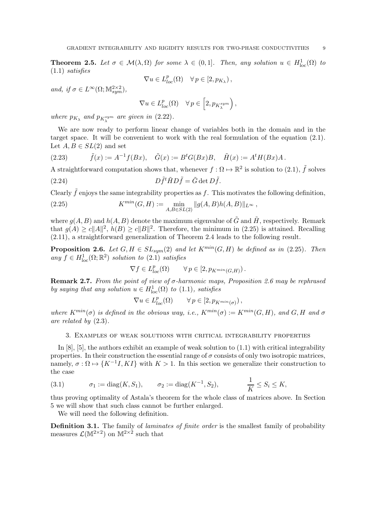**Theorem 2.5.** Let  $\sigma \in \mathcal{M}(\lambda, \Omega)$  for some  $\lambda \in (0, 1]$ . Then, any solution  $u \in H^1_{loc}(\Omega)$  to (1.1) *satisfies*

$$
\nabla u \in L_{loc}^p(\Omega) \quad \forall \, p \in [2, p_{K_\lambda}),
$$

*and, if*  $\sigma \in L^{\infty}(\Omega; \mathbb{M}^{2 \times 2}_{sym}),$ 

$$
\nabla u \in L^p_{loc}(\Omega) \quad \forall \, p \in \left[2, p_{K^{sym}_\lambda}\right),
$$

*where*  $p_{K_{\lambda}}$  and  $p_{K_{\lambda}^{sym}}$  are given in  $(2.22)$ .

We are now ready to perform linear change of variables both in the domain and in the target space. It will be convenient to work with the real formulation of the equation (2.1). Let  $A, B \in SL(2)$  and set

(2.23) 
$$
\tilde{f}(x) := A^{-1} f(Bx), \quad \tilde{G}(x) := B^t G(Bx) B, \quad \tilde{H}(x) := A^t H(Bx) A.
$$

A straightforward computation shows that, whenever  $f: \Omega \mapsto \mathbb{R}^2$  is solution to  $(2.1)$ ,  $\tilde{f}$  solves

(2.24) 
$$
D\tilde{f}^t\tilde{H}D\tilde{f}=\tilde{G}\det D\tilde{f}.
$$

Clearly  $\tilde{f}$  enjoys the same integrability properties as f. This motivates the following definition,

(2.25) 
$$
K^{min}(G, H) := \min_{A, B \in SL(2)} ||g(A, B)h(A, B)||_{L^{\infty}},
$$

where  $g(A, B)$  and  $h(A, B)$  denote the maximum eigenvalue of  $\tilde{G}$  and  $\tilde{H}$ , respectively. Remark that  $g(A) \ge c||A||^2$ ,  $h(B) \ge c||B||^2$ . Therefore, the minimum in (2.25) is attained. Recalling (2.11), a straightforward generalization of Theorem 2.4 leads to the following result.

**Proposition 2.6.** *Let*  $G, H \in SL_{sym}(2)$  *and let*  $K^{min}(G, H)$  *be defined as in* (2.25)*. Then*  $any f \in H_{loc}^1(\Omega;\mathbb{R}^2)$  *solution to*  $(2.1)$  *satisfies* 

$$
\nabla f \in L_{loc}^p(\Omega) \qquad \forall \, p \in [2, p_{K^{min}(G,H)})\,.
$$

Remark 2.7. *From the point of view of* σ*-harmonic maps, Proposition 2.6 may be rephrased by saying that any solution*  $u \in H^1_{loc}(\Omega)$  *to* (1.1)*, satisfies* 

$$
\nabla u \in L^p_{loc}(\Omega) \qquad \forall \, p \in [2, p_{K^{min}(\sigma)})\,,
$$

*where*  $K^{min}(\sigma)$  *is defined in the obvious way, i.e.,*  $K^{min}(\sigma) := K^{min}(G, H)$ *, and*  $G, H$  *and*  $\sigma$ *are related by* (2.3)*.*

## 3. Examples of weak solutions with critical integrability properties

In  $[8]$ ,  $[5]$ , the authors exhibit an example of weak solution to  $(1.1)$  with critical integrability properties. In their construction the essential range of  $\sigma$  consists of only two isotropic matrices, namely,  $\sigma : \Omega \mapsto \{K^{-1}I, K I\}$  with  $K > 1$ . In this section we generalize their construction to the case

(3.1) 
$$
\sigma_1 := \text{diag}(K, S_1), \quad \sigma_2 := \text{diag}(K^{-1}, S_2), \quad \frac{1}{K} \leq S_i \leq K,
$$

thus proving optimality of Astala's theorem for the whole class of matrices above. In Section 5 we will show that such class cannot be further enlarged.

We will need the following definition.

Definition 3.1. The family of *laminates of finite order* is the smallest family of probability measures  $\mathcal{L}(\mathbb{M}^{2\times2})$  on  $\mathbb{M}^{2\times2}$  such that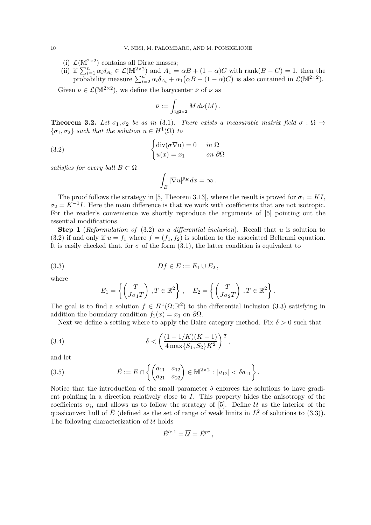- (i)  $\mathcal{L}(\mathbb{M}^{2\times 2})$  contains all Dirac masses;
- (ii) if  $\sum_{i=1}^n \alpha_i \delta_{A_i} \in \mathcal{L}(\mathbb{M}^{2\times 2})$  and  $A_1 = \alpha B + (1 \alpha)C$  with rank $(B C) = 1$ , then the probability measure  $\sum_{i=2}^{n} \alpha_i \delta_{A_i} + \alpha_1 (\alpha B + (1 - \alpha)C)$  is also contained in  $\mathcal{L}(\mathbb{M}^{2 \times 2})$ .

Given  $\nu \in \mathcal{L}(\mathbb{M}^{2\times 2})$ , we define the barycenter  $\bar{\nu}$  of  $\nu$  as

$$
\bar{\nu}:=\int_{\mathbb{M}^{2\times 2}}M\,d\nu(M)\,.
$$

**Theorem 3.2.** Let  $\sigma_1$ ,  $\sigma_2$  be as in (3.1). There exists a measurable matrix field  $\sigma : \Omega \rightarrow$  $\{\sigma_1, \sigma_2\}$  *such that the solution*  $u \in H^1(\Omega)$  *to* 

(3.2) 
$$
\begin{cases} \text{div}(\sigma \nabla \mathbf{u}) = 0 & \text{in } \Omega \\ u(x) = x_1 & \text{on } \partial \Omega \end{cases}
$$

*satisfies for every ball*  $B \subset \Omega$ 

$$
\int_B|\nabla u|^{p_K}dx=\infty\,.
$$

The proof follows the strategy in [5, Theorem 3.13], where the result is proved for  $\sigma_1 = K I$ ,  $\sigma_2 = K^{-1}I$ . Here the main difference is that we work with coefficients that are not isotropic. For the reader's convenience we shortly reproduce the arguments of [5] pointing out the essential modifications.

Step 1 (*Reformulation of* (3.2) *as a differential inclusion*). Recall that u is solution to (3.2) if and only if  $u = f_1$  where  $f = (f_1, f_2)$  is solution to the associated Beltrami equation. It is easily checked that, for  $\sigma$  of the form (3.1), the latter condition is equivalent to

$$
(3.3) \tDf \in E := E_1 \cup E_2,
$$

where

$$
E_1 = \left\{ \begin{pmatrix} T \\ J\sigma_1 T \end{pmatrix} , T \in \mathbb{R}^2 \right\} , \quad E_2 = \left\{ \begin{pmatrix} T \\ J\sigma_2 T \end{pmatrix} , T \in \mathbb{R}^2 \right\}.
$$

The goal is to find a solution  $f \in H^1(\Omega;\mathbb{R}^2)$  to the differential inclusion (3.3) satisfying in addition the boundary condition  $f_1(x) = x_1$  on  $\partial\Omega$ .

Next we define a setting where to apply the Baire category method. Fix  $\delta > 0$  such that

(3.4) 
$$
\delta < \left(\frac{(1 - 1/K)(K - 1)}{4 \max\{S_1, S_2\} K^2}\right)^{\frac{1}{2}},
$$

and let

(3.5) 
$$
\tilde{E} := E \cap \left\{ \begin{pmatrix} a_{11} & a_{12} \\ a_{21} & a_{22} \end{pmatrix} \in \mathbb{M}^{2 \times 2} : |a_{12}| < \delta a_{11} \right\}.
$$

Notice that the introduction of the small parameter  $\delta$  enforces the solutions to have gradient pointing in a direction relatively close to I. This property hides the anisotropy of the coefficients  $\sigma_i$ , and allows us to follow the strategy of [5]. Define  $\mathcal{U}$  as the interior of the quasiconvex hull of  $\tilde{E}$  (defined as the set of range of weak limits in  $L^2$  of solutions to (3.3)). The following characterization of  $\overline{U}$  holds

$$
\tilde{E}^{lc,1}=\overline{\mathcal{U}}=\tilde{E}^{pc}\,,
$$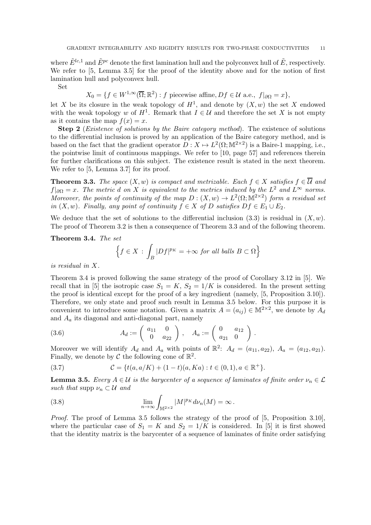where  $\tilde{E}^{lc,1}$  and  $\tilde{E}^{pc}$  denote the first lamination hull and the polyconvex hull of  $\tilde{E}$ , respectively. We refer to [5, Lemma 3.5] for the proof of the identity above and for the notion of first lamination hull and polyconvex hull.

Set

$$
X_0 = \{ f \in W^{1,\infty}(\overline{\Omega}; \mathbb{R}^2) : f \text{ piecewise affine}, Df \in \mathcal{U} \text{ a.e., } f|_{\partial \Omega} = x \},
$$

let X be its closure in the weak topology of  $H^1$ , and denote by  $(X, w)$  the set X endowed with the weak topology w of  $H^1$ . Remark that  $I \in \mathcal{U}$  and therefore the set X is not empty as it contains the map  $f(x) = x$ .

Step 2 (*Existence of solutions by the Baire category method*). The existence of solutions to the differential inclusion is proved by an application of the Baire category method, and is based on the fact that the gradient operator  $D: X \mapsto L^2(\Omega; \mathbb{M}^{2 \times 2})$  is a Baire-1 mapping, i.e., the pointwise limit of continuous mappings. We refer to [10, page 57] and references therein for further clarifications on this subject. The existence result is stated in the next theorem. We refer to [5, Lemma 3.7] for its proof.

**Theorem 3.3.** *The space*  $(X, w)$  *is compact and metrizable. Each*  $f \in X$  *satisfies*  $f \in \overline{\mathcal{U}}$  *and*  $f|_{\partial\Omega} = x$ . The metric d on X is equivalent to the metrics induced by the  $L^2$  and  $L^{\infty}$  norms. *Moreover, the points of continuity of the map*  $D: (X, w) \to L^2(\Omega; \mathbb{M}^{2 \times 2})$  *form a residual set in*  $(X, w)$ *. Finally, any point of continuity*  $f \in X$  *of* D *satisfies*  $Df \in E_1 \cup E_2$ *.* 

We deduce that the set of solutions to the differential inclusion  $(3.3)$  is residual in  $(X, w)$ . The proof of Theorem 3.2 is then a consequence of Theorem 3.3 and of the following theorem.

Theorem 3.4. *The set*

$$
\Big\{f\in X\,:\,\int_{B}|Df|^{p_{K}}=+\infty\,\,for\,\,all\,\,balls\,\,B\subset\Omega\Big\}
$$

*is residual in* X*.*

Theorem 3.4 is proved following the same strategy of the proof of Corollary 3.12 in [5]. We recall that in [5] the isotropic case  $S_1 = K$ ,  $S_2 = 1/K$  is considered. In the present setting the proof is identical except for the proof of a key ingredient (namely, [5, Proposition 3.10]). Therefore, we only state and proof such result in Lemma 3.5 below. For this purpose it is convenient to introduce some notation. Given a matrix  $A = (a_{ij}) \in M^{2 \times 2}$ , we denote by  $A_d$ and  $A_a$  its diagonal and anti-diagonal part, namely

(3.6) 
$$
A_d := \begin{pmatrix} a_{11} & 0 \\ 0 & a_{22} \end{pmatrix}, \quad A_a := \begin{pmatrix} 0 & a_{12} \\ a_{21} & 0 \end{pmatrix}.
$$

Moreover we will identify  $A_d$  and  $A_a$  with points of  $\mathbb{R}^2$ :  $A_d = (a_{11}, a_{22}), A_a = (a_{12}, a_{21}).$ Finally, we denote by  $C$  the following cone of  $\mathbb{R}^2$ .

(3.7) 
$$
\mathcal{C} = \{t(a, a/K) + (1-t)(a, Ka) : t \in (0,1), a \in \mathbb{R}^+\}.
$$

**Lemma 3.5.** *Every*  $A \in \mathcal{U}$  *is the barycenter of a sequence of laminates of finite order*  $\nu_n \in \mathcal{L}$ *such that* supp  $\nu_n \subset \mathcal{U}$  *and* 

(3.8) 
$$
\lim_{n \to \infty} \int_{\mathbb{M}^{2 \times 2}} |M|^{p_K} d\nu_n(M) = \infty.
$$

*Proof.* The proof of Lemma 3.5 follows the strategy of the proof of [5, Proposition 3.10], where the particular case of  $S_1 = K$  and  $S_2 = 1/K$  is considered. In [5] it is first showed that the identity matrix is the barycenter of a sequence of laminates of finite order satisfying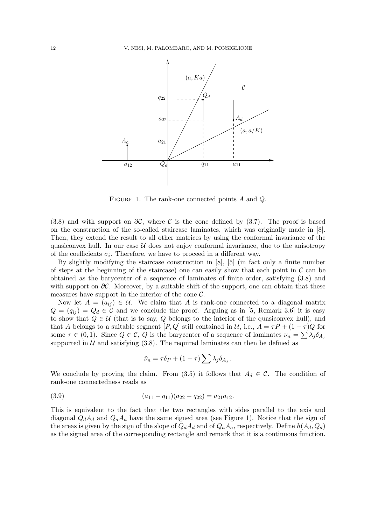

FIGURE 1. The rank-one connected points A and Q.

(3.8) and with support on  $\partial \mathcal{C}$ , where C is the cone defined by (3.7). The proof is based on the construction of the so-called staircase laminates, which was originally made in [8]. Then, they extend the result to all other matrices by using the conformal invariance of the quasiconvex hull. In our case  $U$  does not enjoy conformal invariance, due to the anisotropy of the coefficients  $\sigma_i$ . Therefore, we have to proceed in a different way.

By slightly modifying the staircase construction in [8], [5] (in fact only a finite number of steps at the beginning of the staircase) one can easily show that each point in  $\mathcal C$  can be obtained as the barycenter of a sequence of laminates of finite order, satisfying (3.8) and with support on  $\partial\mathcal{C}$ . Moreover, by a suitable shift of the support, one can obtain that these measures have support in the interior of the cone  $\mathcal{C}$ .

Now let  $A = (a_{ij}) \in \mathcal{U}$ . We claim that A is rank-one connected to a diagonal matrix  $Q = (q_{ij}) = Q_d \in \mathcal{C}$  and we conclude the proof. Arguing as in [5, Remark 3.6] it is easy to show that  $Q \in \mathcal{U}$  (that is to say, Q belongs to the interior of the quasiconvex hull), and that A belongs to a suitable segment  $[P,Q]$  still contained in U, i.e.,  $A = \tau P + (1 - \tau)Q$  for some  $\tau \in (0,1)$ . Since  $Q \in \mathcal{C}$ , Q is the barycenter of a sequence of laminates  $\nu_n = \sum \lambda_j \delta_{A_j}$ supported in  $U$  and satisfying (3.8). The required laminates can then be defined as

$$
\tilde{\nu}_n = \tau \delta_P + (1 - \tau) \sum \lambda_j \delta_{A_j}.
$$

We conclude by proving the claim. From (3.5) it follows that  $A_d \in \mathcal{C}$ . The condition of rank-one connectedness reads as

$$
(3.9) \qquad (a_{11} - q_{11})(a_{22} - q_{22}) = a_{21}a_{12}.
$$

This is equivalent to the fact that the two rectangles with sides parallel to the axis and diagonal  $Q_dA_d$  and  $Q_aA_a$  have the same signed area (see Figure 1). Notice that the sign of the areas is given by the sign of the slope of  $Q_dA_d$  and of  $Q_aA_a$ , respectively. Define  $h(A_d, Q_d)$ as the signed area of the corresponding rectangle and remark that it is a continuous function.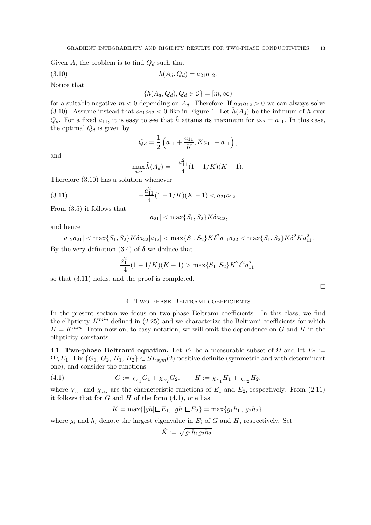Given A, the problem is to find  $Q_d$  such that

$$
(3.10) \t\t\t h(A_d, Q_d) = a_{21}a_{12}.
$$

Notice that

$$
\{h(A_d, Q_d), Q_d \in \mathcal{C}\} = [m, \infty)
$$

for a suitable negative  $m < 0$  depending on  $A_d$ . Therefore, If  $a_{21}a_{12} > 0$  we can always solve (3.10). Assume instead that  $a_{21}a_{12} < 0$  like in Figure 1. Let  $h(A_d)$  be the infimum of h over  $Q_d$ . For a fixed  $a_{11}$ , it is easy to see that  $\tilde{h}$  attains its maximum for  $a_{22} = a_{11}$ . In this case, the optimal  $Q_d$  is given by

$$
Q_d = \frac{1}{2} \left( a_{11} + \frac{a_{11}}{K}, Ka_{11} + a_{11} \right),\,
$$

and

$$
\max_{a_{22}} \tilde{h}(A_d) = -\frac{a_{11}^2}{4}(1 - 1/K)(K - 1).
$$

Therefore (3.10) has a solution whenever

(3.11) 
$$
-\frac{a_{11}^2}{4}(1-1/K)(K-1) < a_{21}a_{12}.
$$

From (3.5) it follows that

$$
|a_{21}| < \max\{S_1, S_2\} K \delta a_{22},
$$

and hence

 $|a_{12}a_{21}| < \max\{S_1, S_2\} K \delta a_{22} |a_{12}| < \max\{S_1, S_2\} K \delta^2 a_{11} a_{22} < \max\{S_1, S_2\} K \delta^2 K a_{11}^2.$ 

By the very definition  $(3.4)$  of  $\delta$  we deduce that

$$
\frac{a_{11}^2}{4}(1 - 1/K)(K - 1) > \max\{S_1, S_2\}K^2\delta^2 a_{11}^2,
$$

so that (3.11) holds, and the proof is completed.

 $\Box$ 

# 4. Two phase Beltrami coefficients

In the present section we focus on two-phase Beltrami coefficients. In this class, we find the ellipticity  $K^{min}$  defined in (2.25) and we characterize the Beltrami coefficients for which  $K = K^{min}$ . From now on, to easy notation, we will omit the dependence on G and H in the ellipticity constants.

4.1. Two-phase Beltrami equation. Let  $E_1$  be a measurable subset of  $\Omega$  and let  $E_2 :=$  $\Omega \backslash E_1$ . Fix  $\{G_1, G_2, H_1, H_2\} \subset SL_{sum}(2)$  positive definite (symmetric and with determinant one), and consider the functions

(4.1) 
$$
G := \chi_{E_1} G_1 + \chi_{E_2} G_2, \qquad H := \chi_{E_1} H_1 + \chi_{E_2} H_2,
$$

where  $\chi_{E_1}$  and  $\chi_{E_2}$  are the characteristic functions of  $E_1$  and  $E_2$ , respectively. From (2.11) it follows that for  $\tilde{G}$  and  $H$  of the form (4.1), one has

$$
K = \max\{|gh| \sqcup E_1, |gh| \sqcup E_2\} = \max\{g_1h_1, g_2h_2\}.
$$

where  $g_i$  and  $h_i$  denote the largest eigenvalue in  $E_i$  of G and H, respectively. Set

$$
\hat{K}:=\sqrt{g_1h_1g_2h_2}\,.
$$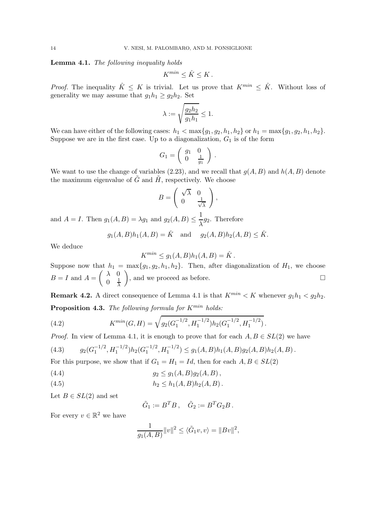Lemma 4.1. *The following inequality holds*

$$
K^{min} \leq \hat{K} \leq K.
$$

*Proof.* The inequality  $\hat{K} \leq K$  is trivial. Let us prove that  $K^{min} \leq \hat{K}$ . Without loss of generality we may assume that  $g_1h_1 \ge g_2h_2$ . Set

$$
\lambda:=\sqrt{\frac{g_2h_2}{g_1h_1}}\leq 1.
$$

We can have either of the following cases:  $h_1 < \max\{g_1, g_2, h_1, h_2\}$  or  $h_1 = \max\{g_1, g_2, h_1, h_2\}.$ Suppose we are in the first case. Up to a diagonalization,  $G_1$  is of the form

$$
G_1 = \left(\begin{array}{cc} g_1 & 0 \\ 0 & \frac{1}{g_1} \end{array}\right) .
$$

We want to use the change of variables (2.23), and we recall that  $q(A, B)$  and  $h(A, B)$  denote the maximum eigenvalue of  $\tilde{G}$  and  $\tilde{H}$ , respectively. We choose

$$
B = \left(\begin{array}{cc} \sqrt{\lambda} & 0\\ 0 & \frac{1}{\sqrt{\lambda}} \end{array}\right),
$$

and  $A = I$ . Then  $g_1(A, B) = \lambda g_1$  and  $g_2(A, B) \leq \frac{1}{\lambda}$  $\frac{1}{\lambda}g_2$ . Therefore

$$
g_1(A, B)h_1(A, B) = \hat{K}
$$
 and  $g_2(A, B)h_2(A, B) \leq \hat{K}$ .

We deduce

$$
K^{min} \le g_1(A, B)h_1(A, B) = \hat{K}.
$$

Suppose now that  $h_1 = \max\{g_1, g_2, h_1, h_2\}$ . Then, after diagonalization of  $H_1$ , we choose  $B = I$  and  $A =$  $\lambda$  0  $0 \frac{1}{\lambda}$ λ ), and we proceed as before.  $\square$ 

**Remark 4.2.** A direct consequence of Lemma 4.1 is that  $K^{min} < K$  whenever  $g_1h_1 < g_2h_2$ . Proposition 4.3. *The following formula for*  $K^{min}$  *holds:* 

(4.2) 
$$
K^{min}(G, H) = \sqrt{g_2(G_1^{-1/2}, H_1^{-1/2})h_2(G_1^{-1/2}, H_1^{-1/2})}.
$$

*Proof.* In view of Lemma 4.1, it is enough to prove that for each  $A, B \in SL(2)$  we have

(4.3) 
$$
g_2(G_1^{-1/2}, H_1^{-1/2})h_2(G_1^{-1/2}, H_1^{-1/2}) \le g_1(A, B)h_1(A, B)g_2(A, B)h_2(A, B)
$$
.  
For this curve are also that if  $G = H_1$  then for each  $A, B \in GL(2)$ .

For this purpose, we show that if  $G_1 = H_1 = Id$ , then for each  $A, B \in SL(2)$ 

(4.4) 
$$
g_2 \leq g_1(A, B)g_2(A, B),
$$

(4.5) 
$$
h_2 \le h_1(A, B)h_2(A, B).
$$

Let  $B \in SL(2)$  and set

 $\tilde{G}_1 := B^T B$ ,  $\tilde{G}_2 := B^T G_2 B$ .

For every  $v \in \mathbb{R}^2$  we have

$$
\frac{1}{g_1(A,B)} \|v\|^2 \le \langle \tilde{G}_1 v, v \rangle = \|Bv\|^2,
$$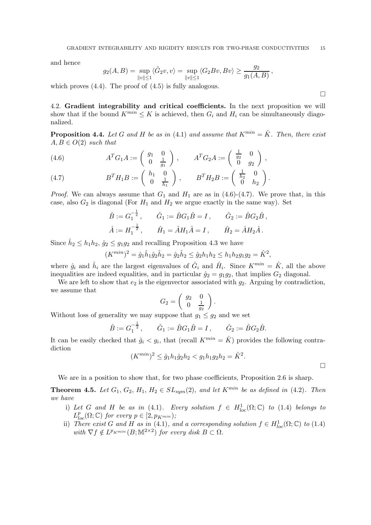and hence

$$
g_2(A, B) = \sup_{\|v\| \le 1} \langle \tilde{G}_2 v, v \rangle = \sup_{\|v\| \le 1} \langle G_2 B v, B v \rangle \ge \frac{g_2}{g_1(A, B)},
$$

which proves  $(4.4)$ . The proof of  $(4.5)$  is fully analogous.

4.2. Gradient integrability and critical coefficients. In the next proposition we will show that if the bound  $K^{min} \leq K$  is achieved, then  $G_i$  and  $H_i$  can be simultaneously diagonalized.

**Proposition 4.4.** Let G and H be as in (4.1) and assume that  $K^{min} = \hat{K}$ . Then, there exist  $A, B \in O(2)$  *such that* 

(4.6) 
$$
A^{T}G_{1}A := \begin{pmatrix} g_{1} & 0 \\ 0 & \frac{1}{g_{1}} \end{pmatrix}, \qquad A^{T}G_{2}A := \begin{pmatrix} \frac{1}{g_{2}} & 0 \\ 0 & g_{2} \end{pmatrix},
$$

(4.7) 
$$
B^{T}H_{1}B := \begin{pmatrix} h_{1} & 0 \\ 0 & \frac{1}{h_{1}} \end{pmatrix}, \qquad B^{T}H_{2}B := \begin{pmatrix} \frac{1}{h_{2}} & 0 \\ 0 & h_{2} \end{pmatrix}.
$$

*Proof.* We can always assume that  $G_1$  and  $H_1$  are as in  $(4.6)-(4.7)$ . We prove that, in this case, also  $G_2$  is diagonal (For  $H_1$  and  $H_2$  we argue exactly in the same way). Set

$$
\hat{B} := G_1^{-\frac{1}{2}}, \quad \hat{G}_1 := \hat{B}G_1\hat{B} = I, \quad \hat{G}_2 := \hat{B}G_2\hat{B},
$$
  
\n $\hat{A} := H_1^{-\frac{1}{2}}, \quad \hat{H}_1 = \hat{A}H_1\hat{A} = I, \quad \hat{H}_2 = \hat{A}H_2\hat{A}.$ 

Since  $\hat{h}_2 \leq h_1 h_2$ ,  $\hat{g}_2 \leq g_1 g_2$  and recalling Proposition 4.3 we have

$$
(K^{min})^2 = \hat{g}_1 \hat{h}_1 \hat{g}_2 \hat{h}_2 = \hat{g}_2 \hat{h}_2 \leq \hat{g}_2 h_1 h_2 \leq h_1 h_2 g_1 g_2 = \hat{K}^2,
$$

where  $\hat{g}_i$  and  $\hat{h}_i$  are the largest eigenvalues of  $\hat{G}_i$  and  $\hat{H}_i$ . Since  $K^{min} = \hat{K}$ , all the above inequalities are indeed equalities, and in particular  $\hat{g}_2 = g_1 g_2$ , that implies  $G_2$  diagonal.

We are left to show that  $e_2$  is the eigenvector associated with  $g_2$ . Arguing by contradiction, we assume that

$$
G_2 = \left(\begin{array}{cc} g_2 & 0 \\ 0 & \frac{1}{g_2} \end{array}\right).
$$

Without loss of generality we may suppose that  $g_1 \leq g_2$  and we set

$$
\hat{B} := G_1^{-\frac{1}{2}}, \qquad \hat{G}_1 := \hat{B}G_1\hat{B} = I, \qquad \hat{G}_2 := \hat{B}G_2\hat{B}.
$$

It can be easily checked that  $\hat{g}_i < g_i$ , that (recall  $K^{min} = \hat{K}$ ) provides the following contradiction

$$
(K^{min})^2 \le \hat{g}_1 h_1 \hat{g}_2 h_2 < g_1 h_1 g_2 h_2 = \hat{K}^2.
$$

 $\Box$ 

We are in a position to show that, for two phase coefficients, Proposition 2.6 is sharp.

**Theorem 4.5.** Let  $G_1$ ,  $G_2$ ,  $H_1$ ,  $H_2 \in SL_{sym}(2)$ , and let  $K^{min}$  be as defined in (4.2). Then *we have*

- i) Let G and H be as in (4.1). Every solution  $f \in H^1_{loc}(\Omega; \mathbb{C})$  to (1.4) belongs to  $L_{loc}^p(\Omega; \mathbb{C})$  for every  $p \in [2, p_{K^{min}})$ ;
- ii) *There exist* G and H as in (4.1), and a corresponding solution  $f \in H_{loc}^1(\Omega; \mathbb{C})$  to (1.4)  $with \ \nabla f \notin L^{p_{Kmin}}(B; \mathbb{M}^{2 \times 2}) \ \text{for every disk } B \subset \Omega.$

 $\Box$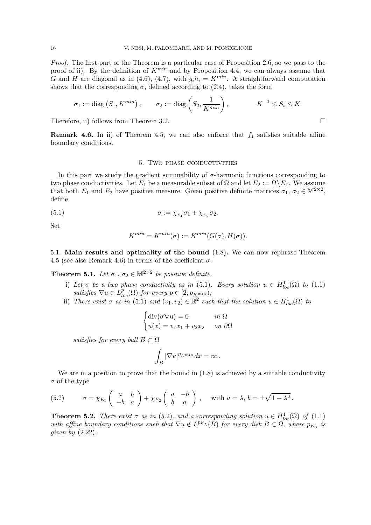*Proof.* The first part of the Theorem is a particular case of Proposition 2.6, so we pass to the proof of ii). By the definition of  $K^{min}$  and by Proposition 4.4, we can always assume that G and H are diagonal as in (4.6), (4.7), with  $g_i h_i = K^{min}$ . A straightforward computation shows that the corresponding  $\sigma$ , defined according to (2.4), takes the form

$$
\sigma_1 := \text{diag}\left(S_1, K^{min}\right), \qquad \sigma_2 := \text{diag}\left(S_2, \frac{1}{K^{min}}\right), \qquad K^{-1} \leq S_i \leq K.
$$

Therefore, ii) follows from Theorem 3.2.

**Remark 4.6.** In ii) of Theorem 4.5, we can also enforce that  $f_1$  satisfies suitable affine boundary conditions.

### 5. Two phase conductivities

In this part we study the gradient summability of  $\sigma$ -harmonic functions corresponding to two phase conductivities. Let  $E_1$  be a measurable subset of  $\Omega$  and let  $E_2 := \Omega \backslash E_1$ . We assume that both  $E_1$  and  $E_2$  have positive measure. Given positive definite matrices  $\sigma_1, \sigma_2 \in M^{2 \times 2}$ , define

$$
\sigma := \chi_{E_1} \sigma_1 + \chi_{E_2} \sigma_2.
$$

Set

$$
K^{min} = K^{min}(\sigma) := K^{min}(G(\sigma), H(\sigma)).
$$

5.1. Main results and optimality of the bound (1.8). We can now rephrase Theorem 4.5 (see also Remark 4.6) in terms of the coefficient  $\sigma$ .

**Theorem 5.1.** Let  $\sigma_1$ ,  $\sigma_2 \in \mathbb{M}^{2 \times 2}$  be positive definite.

- i) Let  $\sigma$  be a two phase conductivity as in (5.1). Every solution  $u \in H^1_{loc}(\Omega)$  to (1.1)  $satisfies \ \nabla u \in L^p_{loc}(\Omega) \ for \ every \ p \in [2, p_{K^{min}});$
- ii) *There exist*  $\sigma$  *as in* (5.1) *and*  $(v_1, v_2) \in \mathbb{R}^2$  *such that the solution*  $u \in H_{loc}^1(\Omega)$  *to*

$$
\begin{cases} \text{div}(\sigma \nabla \mathbf{u}) = 0 & \text{in } \Omega \\ u(x) = v_1 x_1 + v_2 x_2 & \text{on } \partial \Omega \end{cases}
$$

*satisfies for every ball*  $B \subset \Omega$ 

$$
\int_B |\nabla u|^{p_{K^{min}}} dx = \infty.
$$

We are in a position to prove that the bound in  $(1.8)$  is achieved by a suitable conductivity  $\sigma$  of the type

(5.2) 
$$
\sigma = \chi_{E_1}\begin{pmatrix} a & b \\ -b & a \end{pmatrix} + \chi_{E_2}\begin{pmatrix} a & -b \\ b & a \end{pmatrix}, \text{ with } a = \lambda, b = \pm \sqrt{1 - \lambda^2}.
$$

**Theorem 5.2.** *There exist*  $\sigma$  *as in* (5.2)*, and a corresponding solution*  $u \in H_{loc}^1(\Omega)$  *of* (1.1) with affine boundary conditions such that  $\nabla u \notin L^{p_{K_\lambda}}(B)$  for every disk  $B \subset \Omega$ , where  $p_{K_\lambda}$  is *given by* (2.22)*.*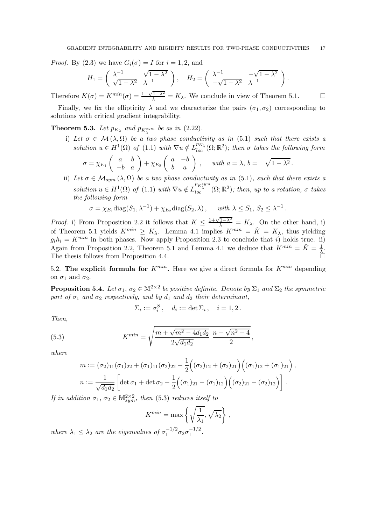*Proof.* By (2.3) we have  $G_i(\sigma) = I$  for  $i = 1, 2$ , and

$$
H_1 = \begin{pmatrix} \lambda^{-1} & \sqrt{1-\lambda^2} \\ \sqrt{1-\lambda^2} & \lambda^{-1} \end{pmatrix}, \quad H_2 = \begin{pmatrix} \lambda^{-1} & -\sqrt{1-\lambda^2} \\ -\sqrt{1-\lambda^2} & \lambda^{-1} \end{pmatrix}.
$$

Therefore  $K(\sigma) = K^{min}(\sigma) = \frac{1 + \sqrt{1 - \lambda^2}}{\lambda} = K_{\lambda}$ . We conclude in view of Theorem 5.1.

Finally, we fix the ellipticity  $\lambda$  and we characterize the pairs  $(\sigma_1, \sigma_2)$  corresponding to solutions with critical gradient integrability.

**Theorem 5.3.** Let  $p_{K_{\lambda}}$  and  $p_{K_{\lambda}}^{sym}$  be as in (2.22).

i) Let  $\sigma \in \mathcal{M}(\lambda, \Omega)$  be a two phase conductivity as in (5.1) such that there exists a  $solution u \in H^{1}(\Omega)$  of (1.1) with  $\nabla u \notin L_{loc}^{p_{K_{\lambda}}}(\Omega;\mathbb{R}^{2})$ ; then  $\sigma$  takes the following form

$$
\sigma = \chi_{E_1}\left(\begin{array}{cc} a & b \\ -b & a \end{array}\right) + \chi_{E_2}\left(\begin{array}{cc} a & -b \\ b & a \end{array}\right), \quad \text{ with } a = \lambda, b = \pm \sqrt{1 - \lambda^2}.
$$

ii) Let  $\sigma \in \mathcal{M}_{sym}(\lambda, \Omega)$  be a two phase conductivity as in (5.1), such that there exists a  $solution u \in H^{1}(\Omega)$  *of* (1.1) *with*  $\nabla u \notin L_{loc}^{p_{K_{\lambda}^{sym}}}(\Omega;\mathbb{R}^{2})$ ; *then, up to a rotation, σ takes the following form*

$$
\sigma = \chi_{E_1} \text{diag}(S_1, \lambda^{-1}) + \chi_{E_2} \text{diag}(S_2, \lambda), \quad \text{with } \lambda \leq S_1, S_2 \leq \lambda^{-1}.
$$

*Proof.* i) From Proposition 2.2 it follows that  $K \leq \frac{1+\sqrt{1-\lambda^2}}{\lambda} = K_{\lambda}$ . On the other hand, i) of Theorem 5.1 yields  $K^{min} \ge K_{\lambda}$ . Lemma 4.1 implies  $K^{min} = \hat{K} = K_{\lambda}$ , thus yielding  $g_i h_i = K^{min}$  in both phases. Now apply Proposition 2.3 to conclude that i) holds true. ii) Again from Proposition 2.2, Theorem 5.1 and Lemma 4.1 we deduce that  $K^{min} = \hat{K} = \frac{1}{\lambda}$ . The thesis follows from Proposition 4.4.

5.2. The explicit formula for  $K^{min}$ . Here we give a direct formula for  $K^{min}$  depending on  $\sigma_1$  and  $\sigma_2$ .

**Proposition 5.4.** Let  $\sigma_1$ ,  $\sigma_2 \in \mathbb{M}^{2 \times 2}$  be positive definite. Denote by  $\Sigma_1$  and  $\Sigma_2$  the symmetric *part of*  $\sigma_1$  *and*  $\sigma_2$  *respectively, and by*  $d_1$  *and*  $d_2$  *their determinant,* 

$$
\Sigma_i := \sigma_i^S, \quad d_i := \det \Sigma_i, \quad i = 1, 2.
$$

,

*Then,*

(5.3) 
$$
K^{min} = \sqrt{\frac{m + \sqrt{m^2 - 4d_1d_2}}{2\sqrt{d_1d_2}} \frac{n + \sqrt{n^2 - 4}}{2}}
$$

*where*

$$
m := (\sigma_2)_{11}(\sigma_1)_{22} + (\sigma_1)_{11}(\sigma_2)_{22} - \frac{1}{2} ((\sigma_2)_{12} + (\sigma_2)_{21}) ((\sigma_1)_{12} + (\sigma_1)_{21}),
$$
  

$$
n := \frac{1}{\sqrt{d_1 d_2}} \left[ \det \sigma_1 + \det \sigma_2 - \frac{1}{2} ((\sigma_1)_{21} - (\sigma_1)_{12}) ((\sigma_2)_{21} - (\sigma_2)_{12}) \right].
$$

*If in addition*  $\sigma_1$ ,  $\sigma_2 \in M^{2 \times 2}_{sym}$ , then (5.3) *reduces itself to* 

$$
K^{min} = \max\left\{\sqrt{\frac{1}{\lambda_1}}, \sqrt{\lambda_2}\right\},\,
$$

where  $\lambda_1 \leq \lambda_2$  are the eigenvalues of  $\sigma_1^{-1/2} \sigma_2 \sigma_1^{-1/2}$ .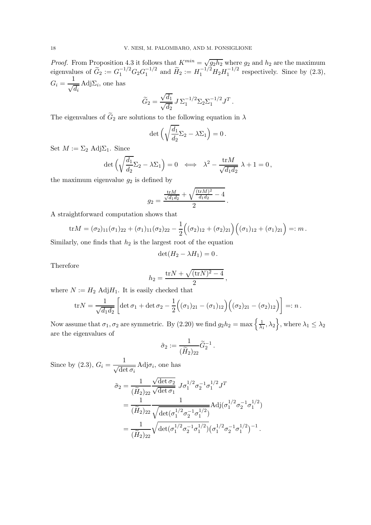*Proof.* From Proposition 4.3 it follows that  $K^{min} = \sqrt{g_2 h_2}$  where  $g_2$  and  $h_2$  are the maximum eigenvalues of  $\tilde{G}_2 := G_1^{-1/2} G_2 G_1^{-1/2}$  and  $\tilde{H}_2 := H_1^{-1/2} H_2 H_1^{-1/2}$  respectively. Since by (2.3),  $G_i = \frac{1}{\sqrt{2}}$  $\sqrt{d_i}$ Adj $\Sigma_i$ , one has

$$
\widetilde{G}_2 = \frac{\sqrt{d_1}}{\sqrt{d_2}} J \Sigma_1^{-1/2} \Sigma_2 \Sigma_1^{-1/2} J^T.
$$

The eigenvalues of  $\widetilde{G}_2$  are solutions to the following equation in  $\lambda$ 

$$
\det\Big(\sqrt{\frac{d_1}{d_2}}\Sigma_2 - \lambda \Sigma_1\Big) = 0\,.
$$

Set  $M := \Sigma_2 \text{Adj}\Sigma_1$ . Since

$$
\det\left(\sqrt{\frac{d_1}{d_2}}\Sigma_2 - \lambda \Sigma_1\right) = 0 \iff \lambda^2 - \frac{\text{tr}M}{\sqrt{d_1 d_2}}\lambda + 1 = 0,
$$

the maximum eigenvalue  $g_2$  is defined by

$$
g_2 = \frac{\frac{\text{tr}M}{\sqrt{d_1 d_2}} + \sqrt{\frac{(\text{tr}M)^2}{d_1 d_2} - 4}}{2}.
$$

A straightforward computation shows that

$$
\text{tr}M = (\sigma_2)_{11}(\sigma_1)_{22} + (\sigma_1)_{11}(\sigma_2)_{22} - \frac{1}{2} ((\sigma_2)_{12} + (\sigma_2)_{21}) ((\sigma_1)_{12} + (\sigma_1)_{21}) =: m.
$$

Similarly, one finds that  $h_2$  is the largest root of the equation

$$
\det(H_2 - \lambda H_1) = 0.
$$

Therefore

$$
h_2 = \frac{\text{tr}N + \sqrt{(\text{tr}N)^2 - 4}}{2},
$$

where  $N := H_2$  Adj $H_1$ . It is easily checked that

$$
\text{tr} N = \frac{1}{\sqrt{d_1 d_2}} \left[ \det \sigma_1 + \det \sigma_2 - \frac{1}{2} \Big( (\sigma_1)_{21} - (\sigma_1)_{12} \Big) \Big( (\sigma_2)_{21} - (\sigma_2)_{12} \Big) \right] =: n \, .
$$

Now assume that  $\sigma_1, \sigma_2$  are symmetric. By (2.20) we find  $g_2h_2 = \max\left\{\frac{1}{\lambda_1}\right\}$  $\frac{1}{\lambda_1}, \lambda_2$ , where  $\lambda_1 \leq \lambda_2$ are the eigenvalues of

$$
\tilde{\sigma}_2 := \frac{1}{(\widetilde{H}_2)_{22}} \widetilde{G}_2^{-1} .
$$

Since by (2.3),  $G_i = \frac{1}{\sqrt{15}}$  $\sqrt{\det \sigma_i}$ Adj $\sigma_i$ , one has

$$
\tilde{\sigma}_2 = \frac{1}{(\tilde{H}_2)_{22}} \frac{\sqrt{\det \sigma_2}}{\sqrt{\det \sigma_1}} J \sigma_1^{1/2} \sigma_2^{-1} \sigma_1^{1/2} J^T
$$
  
= 
$$
\frac{1}{(\tilde{H}_2)_{22}} \frac{1}{\sqrt{\det(\sigma_1^{1/2} \sigma_2^{-1} \sigma_1^{1/2})}} \text{Adj}(\sigma_1^{1/2} \sigma_2^{-1} \sigma_1^{1/2})
$$
  
= 
$$
\frac{1}{(\tilde{H}_2)_{22}} \sqrt{\det(\sigma_1^{1/2} \sigma_2^{-1} \sigma_1^{1/2})} (\sigma_1^{1/2} \sigma_2^{-1} \sigma_1^{1/2})^{-1}.
$$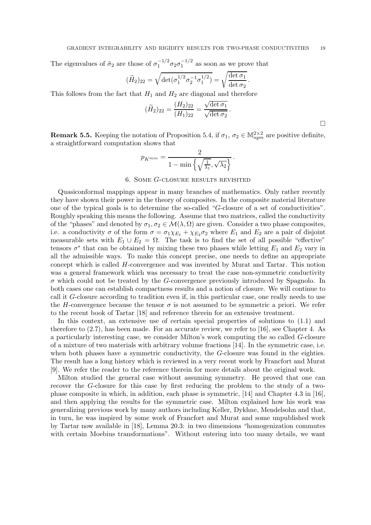The eigenvalues of  $\tilde{\sigma}_2$  are those of  $\sigma_1^{-1/2} \sigma_2 \sigma_1^{-1/2}$  as soon as we prove that

$$
(\widetilde{H}_2)_{22} = \sqrt{\det(\sigma_1^{1/2} \sigma_2^{-1} \sigma_1^{1/2})} = \sqrt{\frac{\det \sigma_1}{\det \sigma_2}}.
$$

This follows from the fact that  $H_1$  and  $H_2$  are diagonal and therefore

$$
(\widetilde{H}_2)_{22} = \frac{(H_2)_{22}}{(H_1)_{22}} = \frac{\sqrt{\det \sigma_1}}{\sqrt{\det \sigma_2}}.
$$

**Remark 5.5.** Keeping the notation of Proposition 5.4, if  $\sigma_1$ ,  $\sigma_2 \in \mathbb{M}^{2 \times 2}_{sym}$  are positive definite, a straightforward computation shows that

$$
p_{K^{min}} = \frac{2}{1 - \min\left\{\sqrt{\frac{1}{\lambda_1}}, \sqrt{\lambda_2}\right\}}.
$$

# 6. Some G-closure results revisited

Quasiconformal mappings appear in many branches of mathematics. Only rather recently they have shown their power in the theory of composites. In the composite material literature one of the typical goals is to determine the so-called "G-closure of a set of conductivities". Roughly speaking this means the following. Assume that two matrices, called the conductivity of the "phases" and denoted by  $\sigma_1, \sigma_2 \in \mathcal{M}(\lambda, \Omega)$  are given. Consider a two phase composites, i.e. a conductivity  $\sigma$  of the form  $\sigma = \sigma_1 \chi_{E_1} + \chi_{E_2} \sigma_2$  where  $E_1$  and  $E_2$  are a pair of disjoint measurable sets with  $E_1 \cup E_2 = \Omega$ . The task is to find the set of all possible "effective" tensors  $\sigma^*$  that can be obtained by mixing these two phases while letting  $E_1$  and  $E_2$  vary in all the admissible ways. To make this concept precise, one needs to define an appropriate concept which is called H-convergence and was invented by Murat and Tartar. This notion was a general framework which was necessary to treat the case non-symmetric conductivity  $\sigma$  which could not be treated by the G-convergence previously introduced by Spagnolo. In both cases one can establish compactness results and a notion of closure. We will continue to call it G-closure according to tradition even if, in this particular case, one really needs to use the H-convergence because the tensor  $\sigma$  is not assumed to be symmetric a priori. We refer to the recent book of Tartar [18] and reference therein for an extensive treatment.

In this context, an extensive use of certain special properties of solutions to (1.1) and therefore to (2.7), has been made. For an accurate review, we refer to [16], see Chapter 4. As a particularly interesting case, we consider Milton's work computing the so called G-closure of a mixture of two materials with arbitrary volume fractions [14]. In the symmetric case, i.e. when both phases have a symmetric conductivity, the G-closure was found in the eighties. The result has a long history which is reviewed in a very recent work by Francfort and Murat [9]. We refer the reader to the reference therein for more details about the original work.

Milton studied the general case without assuming symmetry. He proved that one can recover the G-closure for this case by first reducing the problem to the study of a twophase composite in which, in addition, each phase is symmetric, [14] and Chapter 4.3 in [16], and then applying the results for the symmetric case. Milton explained how his work was generalizing previous work by many authors including Keller, Dykhne, Mendelsohn and that, in turn, he was inspired by some work of Francfort and Murat and some unpublished work by Tartar now available in [18], Lemma 20.3: in two dimensions "homogenization commutes with certain Moebius transformations". Without entering into too many details, we want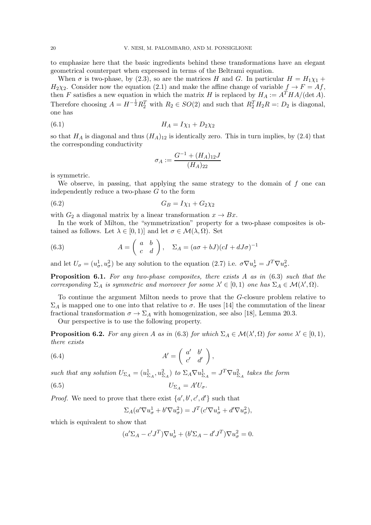to emphasize here that the basic ingredients behind these transformations have an elegant geometrical counterpart when expressed in terms of the Beltrami equation.

When  $\sigma$  is two-phase, by (2.3), so are the matrices H and G. In particular  $H = H_1 \chi_1 +$  $H_2\chi_2$ . Consider now the equation (2.1) and make the affine change of variable  $f \to F = Af$ , then F satisfies a new equation in which the matrix H is replaced by  $H_A := A^T H A/(\det A)$ . Therefore choosing  $A = H^{-\frac{1}{2}}R_2^T$  with  $R_2 \in SO(2)$  and such that  $R_2^TH_2R =: D_2$  is diagonal, one has

(6.1) 
$$
H_A = I\chi_1 + D_2\chi_2
$$

so that  $H_A$  is diagonal and thus  $(H_A)_{12}$  is identically zero. This in turn implies, by (2.4) that the corresponding conductivity

$$
\sigma_A:=\frac{G^{-1}+(H_A)_{12}J}{(H_A)_{22}}
$$

is symmetric.

We observe, in passing, that applying the same strategy to the domain of  $f$  one can independently reduce a two-phase G to the form

$$
(6.2) \tG_B = I\chi_1 + G_2\chi_2
$$

with  $G_2$  a diagonal matrix by a linear transformation  $x \to Bx$ .

In the work of Milton, the "symmetrization" property for a two-phase composites is obtained as follows. Let  $\lambda \in [0,1]$  and let  $\sigma \in \mathcal{M}(\lambda, \Omega)$ . Set

(6.3) 
$$
A = \begin{pmatrix} a & b \\ c & d \end{pmatrix}, \quad \Sigma_A = (a\sigma + bJ)(cI + dJ\sigma)^{-1}
$$

and let  $U_{\sigma} = (u_{\sigma}^1, u_{\sigma}^2)$  be any solution to the equation (2.7) i.e.  $\sigma \nabla u_{\sigma}^1 = J^T \nabla u_{\sigma}^2$ .

Proposition 6.1. *For any two-phase composites, there exists* A *as in* (6.3) *such that the corresponding*  $\Sigma_A$  *is symmetric and moreover for some*  $\lambda' \in [0,1)$  *one has*  $\Sigma_A \in \mathcal{M}(\lambda', \Omega)$ *.* 

To continue the argument Milton needs to prove that the G-closure problem relative to  $\Sigma_A$  is mapped one to one into that relative to  $\sigma$ . He uses [14] the commutation of the linear fractional transformation  $\sigma \to \Sigma_A$  with homogenization, see also [18], Lemma 20.3.

Our perspective is to use the following property.

**Proposition 6.2.** For any given A as in (6.3) for which  $\Sigma_A \in \mathcal{M}(\lambda', \Omega)$  for some  $\lambda' \in [0, 1)$ , *there exists*

(6.4) 
$$
A' = \begin{pmatrix} a' & b' \\ c' & d' \end{pmatrix},
$$

*such that any solution*  $U_{\Sigma_A} = (u_{\Sigma_A}^1, u_{\Sigma_A}^2)$  *to*  $\Sigma_A \nabla u_{\Sigma_A}^1 = J^T \nabla u_{\Sigma_A}^2$  *takes the form* 

$$
(6.5) \t\t\t U_{\Sigma_A} = A' U_{\sigma}.
$$

*Proof.* We need to prove that there exist  $\{a', b', c', d'\}$  such that

$$
\Sigma_A(a'\nabla u^1_\sigma + b'\nabla u^2_\sigma) = J^T(c'\nabla u^1_\sigma + d'\nabla u^2_\sigma),
$$

which is equivalent to show that

$$
(a'\Sigma_A - c'J^T)\nabla u^1_\sigma + (b'\Sigma_A - d'J^T)\nabla u^2_\sigma = 0.
$$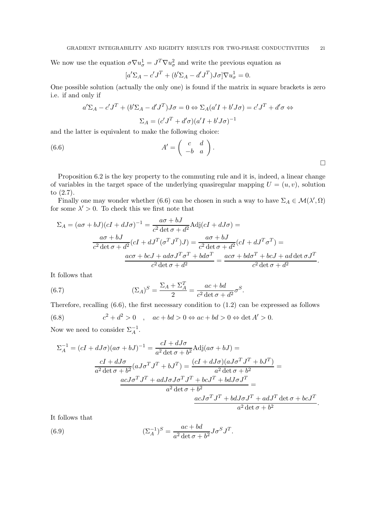We now use the equation  $\sigma \nabla u_{\sigma}^1 = J^T \nabla u_{\sigma}^2$  and write the previous equation as

$$
[a'\Sigma_A - c'J^T + (b'\Sigma_A - d'J^T)J\sigma]\nabla u^1_\sigma = 0.
$$

One possible solution (actually the only one) is found if the matrix in square brackets is zero i.e. if and only if

$$
a'\Sigma_A - c'J^T + (b'\Sigma_A - d'J^T)J\sigma = 0 \Leftrightarrow \Sigma_A(a'I + b'J\sigma) = c'J^T + d'\sigma \Leftrightarrow
$$
  

$$
\Sigma_A = (c'J^T + d'\sigma)(a'I + b'J\sigma)^{-1}
$$

and the latter is equivalent to make the following choice:

(6.6) 
$$
A' = \begin{pmatrix} c & d \\ -b & a \end{pmatrix}.
$$

Proposition 6.2 is the key property to the commuting rule and it is, indeed, a linear change of variables in the target space of the underlying quasiregular mapping  $U = (u, v)$ , solution to (2.7).

Finally one may wonder whether (6.6) can be chosen in such a way to have  $\Sigma_A \in \mathcal{M}(\lambda', \Omega)$ for some  $\lambda' > 0$ . To check this we first note that

$$
\Sigma_A = (a\sigma + bJ)(cI + dJ\sigma)^{-1} = \frac{a\sigma + bJ}{c^2 \det \sigma + d^2} \text{Adj}(cI + dJ\sigma) =
$$

$$
\frac{a\sigma + bJ}{c^2 \det \sigma + d^2} (cI + dJ^T(\sigma^T J^T)J) = \frac{a\sigma + bJ}{c^2 \det \sigma + d^2} (cI + dJ^T \sigma^T) =
$$

$$
\frac{a\sigma + b\sigma J + a d\sigma J^T \sigma^T + b d\sigma^T}{c^2 \det \sigma + d^2} = \frac{a\sigma\sigma + b d\sigma^T + b cJ + a d \det \sigma J^T}{c^2 \det \sigma + d^2}.
$$

It follows that

(6.7) 
$$
(\Sigma_A)^S = \frac{\Sigma_A + \Sigma_A^T}{2} = \frac{ac + bd}{c^2 \det \sigma + d^2} \sigma^S.
$$

Therefore, recalling (6.6), the first necessary condition to (1.2) can be expressed as follows

(6.8) 
$$
c^2 + d^2 > 0 \quad , \quad ac + bd > 0 \Leftrightarrow ac + bd > 0 \Leftrightarrow \det A' > 0.
$$

Now we need to consider  $\Sigma_A^{-1}$ .

$$
\Sigma_A^{-1} = (cI + dJ\sigma)(a\sigma + bJ)^{-1} = \frac{cI + dJ\sigma}{a^2 \det \sigma + b^2} \text{Adj}(a\sigma + bJ) =
$$

$$
\frac{cI + dJ\sigma}{a^2 \det \sigma + b^2} (aJ\sigma^T J^T + bJ^T) = \frac{(cI + dJ\sigma)(aJ\sigma^T J^T + bJ^T)}{a^2 \det \sigma + b^2} =
$$

$$
\frac{acJ\sigma^T J^T + adJ\sigma J\sigma^T J^T + bcJ^T + bdJ\sigma J^T}{a^2 \det \sigma + b^2} =
$$

$$
\frac{acJ\sigma^T J^T + bdJ\sigma J^T + adJ^T \det \sigma + bcJ^T}{a^2 \det \sigma + b^2}.
$$

.

It follows that

(6.9) 
$$
(\Sigma_A^{-1})^S = \frac{ac + bd}{a^2 \det \sigma + b^2} J \sigma^S J^T
$$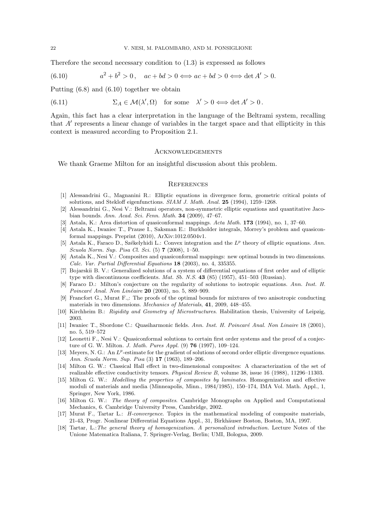Therefore the second necessary condition to (1.3) is expressed as follows

(6.10) 
$$
a^2 + b^2 > 0, \quad ac + bd > 0 \Longleftrightarrow ac + bd > 0 \Longleftrightarrow \det A' > 0.
$$

Putting (6.8) and (6.10) together we obtain

(6.11) 
$$
\Sigma_A \in \mathcal{M}(\lambda', \Omega) \text{ for some } \lambda' > 0 \Longleftrightarrow \det A' > 0.
$$

Again, this fact has a clear interpretation in the language of the Beltrami system, recalling that A′ represents a linear change of variables in the target space and that ellipticity in this context is measured according to Proposition 2.1.

#### **ACKNOWLEDGEMENTS**

We thank Graeme Milton for an insightful discussion about this problem.

#### **REFERENCES**

- [1] Alessandrini G., Magnanini R.: Elliptic equations in divergence form, geometric critical points of solutions, and Stekloff eigenfunctions. SIAM J. Math. Anal. 25 (1994), 1259–1268.
- [2] Alessandrini G., Nesi V.: Beltrami operators, non-symmetric elliptic equations and quantitative Jacobian bounds. Ann. Acad. Sci. Fenn. Math. 34 (2009), 47–67.
- [3] Astala, K.: Area distortion of quasiconformal mappings. Acta Math. 173 (1994), no. 1, 37–60.
- [4] Astala K., Iwaniec T., Prause I., Saksman E.: Burkholder integrals, Morrey's problem and quasiconformal mappings. Preprint (2010), ArXiv:1012.0504v1.
- [5] Astala K., Faraco D., Székelyhidi L.: Convex integration and the  $L^p$  theory of elliptic equations. Ann. Scuola Norm. Sup. Pisa Cl. Sci. (5) 7 (2008), 1–50.
- [6] Astala K., Nesi V.: Composites and quasiconformal mappings: new optimal bounds in two dimensions. Calc. Var. Partial Differential Equations 18 (2003), no. 4, 335355.
- [7] Bojarskii B. V.: Generalized solutions of a system of differential equations of first order and of elliptic type with discontinuous coefficients. Mat. Sb. N.S. 43 (85) (1957), 451–503 (Russian).
- [8] Faraco D.: Milton's conjecture on the regularity of solutions to isotropic equations. Ann. Inst. H. Poincaré Anal. Non Linéaire  $20$  (2003), no. 5, 889–909.
- [9] Francfort G., Murat F.,: The proofs of the optimal bounds for mixtures of two anisotropic conducting materials in two dimensions. Mechanics of Materials, 41, 2009, 448–455.
- [10] Kirchheim B.: Rigidity and Geometry of Microstructures. Habilitation thesis, University of Leipzig, 2003.
- [11] Iwaniec T., Sbordone C.: Quasiharmonic fields. Ann. Inst. H. Poincaré Anal. Non Linaire 18 (2001), no. 5, 519–572
- [12] Leonetti F., Nesi V.: Quasiconformal solutions to certain first order systems and the proof of a conjecture of G. W. Milton. J. Math. Pures Appl. (9) 76 (1997), 109–124.
- [13] Meyers, N. G.: An  $L^p$ -estimate for the gradient of solutions of second order elliptic divergence equations. Ann. Scuola Norm. Sup. Pisa (3) 17 (1963), 189–206.
- [14] Milton G. W.: Classical Hall effect in two-dimensional composites: A characterization of the set of realizable effective conductivity tensors. Physical Review B, volume 38, issue 16 (1988), 11296–11303.
- [15] Milton G. W.: Modelling the properties of composites by laminates. Homogenization and effective moduli of materials and media (Minneapolis, Minn., 1984/1985), 150–174, IMA Vol. Math. Appl., 1, Springer, New York, 1986.
- [16] Milton G. W.: The theory of composites. Cambridge Monographs on Applied and Computational Mechanics, 6. Cambridge University Press, Cambridge, 2002.
- [17] Murat F., Tartar L.: H-convergence. Topics in the mathematical modeling of composite materials, 21-43, Progr. Nonlinear Differential Equations Appl., 31, Birkhäuser Boston, Boston, MA, 1997.
- [18] Tartar, L.:The general theory of homogenization. A personalized introduction. Lecture Notes of the Unione Matematica Italiana, 7. Springer-Verlag, Berlin; UMI, Bologna, 2009.